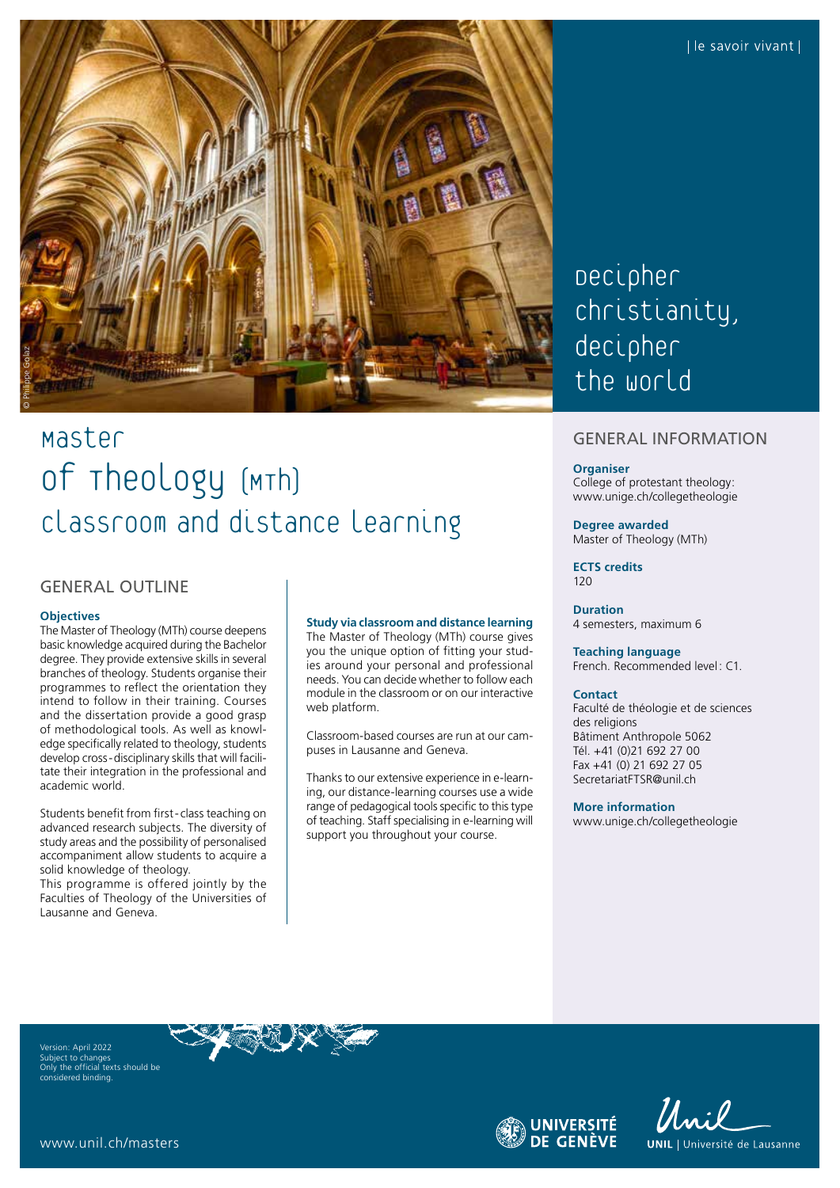

# Master of Theology (MTh) classroom and distance learning

## GENERAL OUTLINE

#### **Objectives**

The Master of Theology (MTh) course deepens basic knowledge acquired during the Bachelor degree. They provide extensive skills in several branches of theology. Students organise their programmes to reflect the orientation they intend to follow in their training. Courses and the dissertation provide a good grasp of methodological tools. As well as knowledge specifically related to theology, students develop cross-disciplinary skills that will facilitate their integration in the professional and academic world.

Students benefit from first- class teaching on advanced research subjects. The diversity of study areas and the possibility of personalised accompaniment allow students to acquire a solid knowledge of theology.

This programme is offered jointly by the Faculties of Theology of the Universities of Lausanne and Geneva.

#### **Study via classroom and distance learning**

The Master of Theology (MTh) course gives you the unique option of fitting your studies around your personal and professional needs. You can decide whether to follow each module in the classroom or on our interactive web platform.

Classroom-based courses are run at our campuses in Lausanne and Geneva.

Thanks to our extensive experience in e-learning, our distance-learning courses use a wide range of pedagogical tools specific to this type of teaching. Staff specialising in e-learning will support you throughout your course.

## Decipher Christianity, decipher the world

## GENERAL INFORMATION

#### **Organiser**

College of protestant theology: [www.unige.ch/collegetheologie](http://www.unige.ch/collegetheologie)

**Degree awarded** Master of Theology (MTh)

**ECTS credits** 120

**Duration** 4 semesters, maximum 6

**Teaching language** French. Recommended level: C1.

#### **Contact**

Faculté de théologie et de sciences des religions Bâtiment Anthropole 5062 Tél. +41 (0)21 692 27 00 Fax +41 (0) 21 692 27 05 [SecretariatFTSR@unil.ch](mailto:SecretariatFTSR@unil.ch)

**More information**

[www.unige.ch/collegetheologie](http://www.unige.ch/collegetheologie)

Version: April 2022 Subject to changes Only the official texts should be considered binding.